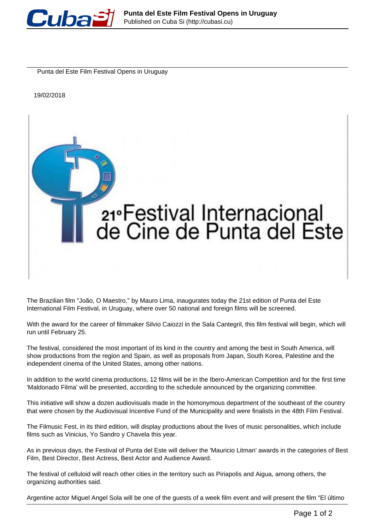

Punta del Este Film Festival Opens in Uruguay

19/02/2018



The Brazilian film "João, O Maestro,'' by Mauro Lima, inaugurates today the 21st edition of Punta del Este International Film Festival, in Uruguay, where over 50 national and foreign films will be screened.

With the award for the career of filmmaker Silvio Caiozzi in the Sala Cantegril, this film festival will begin, which will run until February 25.

The festival, considered the most important of its kind in the country and among the best in South America, will show productions from the region and Spain, as well as proposals from Japan, South Korea, Palestine and the independent cinema of the United States, among other nations.

In addition to the world cinema productions, 12 films will be in the Ibero-American Competition and for the first time 'Maldonado Filma' will be presented, according to the schedule announced by the organizing committee.

This initiative will show a dozen audiovisuals made in the homonymous department of the southeast of the country that were chosen by the Audiovisual Incentive Fund of the Municipality and were finalists in the 48th Film Festival.

The Filmusic Fest, in its third edition, will display productions about the lives of music personalities, which include films such as Vinicius, Yo Sandro y Chavela this year.

As in previous days, the Festival of Punta del Este will deliver the 'Mauricio Litman' awards in the categories of Best Film, Best Director, Best Actress, Best Actor and Audience Award.

The festival of celluloid will reach other cities in the territory such as Piriapolis and Aigua, among others, the organizing authorities said.

Argentine actor Miguel Angel Sola will be one of the guests of a week film event and will present the film "El último